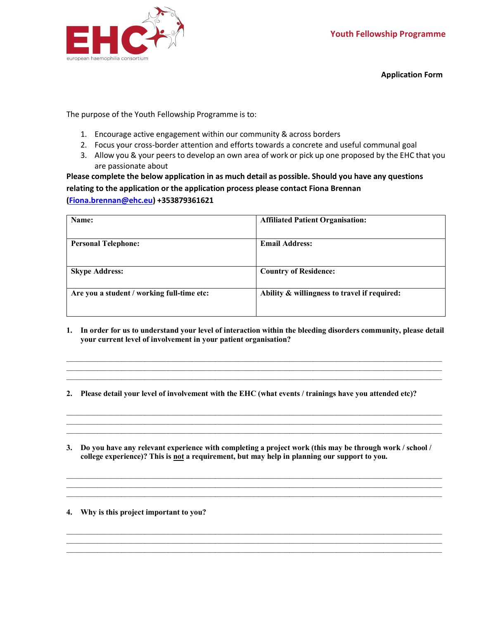

**Application Form**

The purpose of the Youth Fellowship Programme is to:

- 1. Encourage active engagement within our community & across borders
- 2. Focus your cross-border attention and efforts towards a concrete and useful communal goal
- 3. Allow you & your peers to develop an own area of work or pick up one proposed by the EHC that you are passionate about

**Please complete the below application in as much detail as possible. Should you have any questions relating to the application or the application process please contact Fiona Brennan (Fiona.brennan@ehc.eu) +353879361621**

| Name:                                      | <b>Affiliated Patient Organisation:</b>      |
|--------------------------------------------|----------------------------------------------|
| <b>Personal Telephone:</b>                 | <b>Email Address:</b>                        |
| <b>Skype Address:</b>                      | <b>Country of Residence:</b>                 |
| Are you a student / working full-time etc: | Ability & willingness to travel if required: |

**1. In order for us to understand your level of interaction within the bleeding disorders community, please detail your current level of involvement in your patient organisation?**

 $\mathcal{L}_\mathcal{L} = \{ \mathcal{L}_\mathcal{L} = \{ \mathcal{L}_\mathcal{L} = \{ \mathcal{L}_\mathcal{L} = \{ \mathcal{L}_\mathcal{L} = \{ \mathcal{L}_\mathcal{L} = \{ \mathcal{L}_\mathcal{L} = \{ \mathcal{L}_\mathcal{L} = \{ \mathcal{L}_\mathcal{L} = \{ \mathcal{L}_\mathcal{L} = \{ \mathcal{L}_\mathcal{L} = \{ \mathcal{L}_\mathcal{L} = \{ \mathcal{L}_\mathcal{L} = \{ \mathcal{L}_\mathcal{L} = \{ \mathcal{L}_\mathcal{$ 

 $\mathcal{L}_\mathcal{L} = \{ \mathcal{L}_\mathcal{L} = \{ \mathcal{L}_\mathcal{L} = \{ \mathcal{L}_\mathcal{L} = \{ \mathcal{L}_\mathcal{L} = \{ \mathcal{L}_\mathcal{L} = \{ \mathcal{L}_\mathcal{L} = \{ \mathcal{L}_\mathcal{L} = \{ \mathcal{L}_\mathcal{L} = \{ \mathcal{L}_\mathcal{L} = \{ \mathcal{L}_\mathcal{L} = \{ \mathcal{L}_\mathcal{L} = \{ \mathcal{L}_\mathcal{L} = \{ \mathcal{L}_\mathcal{L} = \{ \mathcal{L}_\mathcal{$ 

 $\mathcal{L}_\text{max}$ 

 $\mathcal{L}_\mathcal{L} = \{ \mathcal{L}_\mathcal{L} = \{ \mathcal{L}_\mathcal{L} = \{ \mathcal{L}_\mathcal{L} = \{ \mathcal{L}_\mathcal{L} = \{ \mathcal{L}_\mathcal{L} = \{ \mathcal{L}_\mathcal{L} = \{ \mathcal{L}_\mathcal{L} = \{ \mathcal{L}_\mathcal{L} = \{ \mathcal{L}_\mathcal{L} = \{ \mathcal{L}_\mathcal{L} = \{ \mathcal{L}_\mathcal{L} = \{ \mathcal{L}_\mathcal{L} = \{ \mathcal{L}_\mathcal{L} = \{ \mathcal{L}_\mathcal{$ 

 $\mathcal{L}_\mathcal{L} = \{ \mathcal{L}_\mathcal{L} = \{ \mathcal{L}_\mathcal{L} = \{ \mathcal{L}_\mathcal{L} = \{ \mathcal{L}_\mathcal{L} = \{ \mathcal{L}_\mathcal{L} = \{ \mathcal{L}_\mathcal{L} = \{ \mathcal{L}_\mathcal{L} = \{ \mathcal{L}_\mathcal{L} = \{ \mathcal{L}_\mathcal{L} = \{ \mathcal{L}_\mathcal{L} = \{ \mathcal{L}_\mathcal{L} = \{ \mathcal{L}_\mathcal{L} = \{ \mathcal{L}_\mathcal{L} = \{ \mathcal{L}_\mathcal{$ 

 $\mathcal{L}_\mathcal{L} = \{ \mathcal{L}_\mathcal{L} = \{ \mathcal{L}_\mathcal{L} = \{ \mathcal{L}_\mathcal{L} = \{ \mathcal{L}_\mathcal{L} = \{ \mathcal{L}_\mathcal{L} = \{ \mathcal{L}_\mathcal{L} = \{ \mathcal{L}_\mathcal{L} = \{ \mathcal{L}_\mathcal{L} = \{ \mathcal{L}_\mathcal{L} = \{ \mathcal{L}_\mathcal{L} = \{ \mathcal{L}_\mathcal{L} = \{ \mathcal{L}_\mathcal{L} = \{ \mathcal{L}_\mathcal{L} = \{ \mathcal{L}_\mathcal{$ 

- **2. Please detail your level of involvement with the EHC (what events / trainings have you attended etc)?**
- **3. Do you have any relevant experience with completing a project work (this may be through work / school / college experience)? This is not a requirement, but may help in planning our support to you.**

**4. Why is this project important to you?**